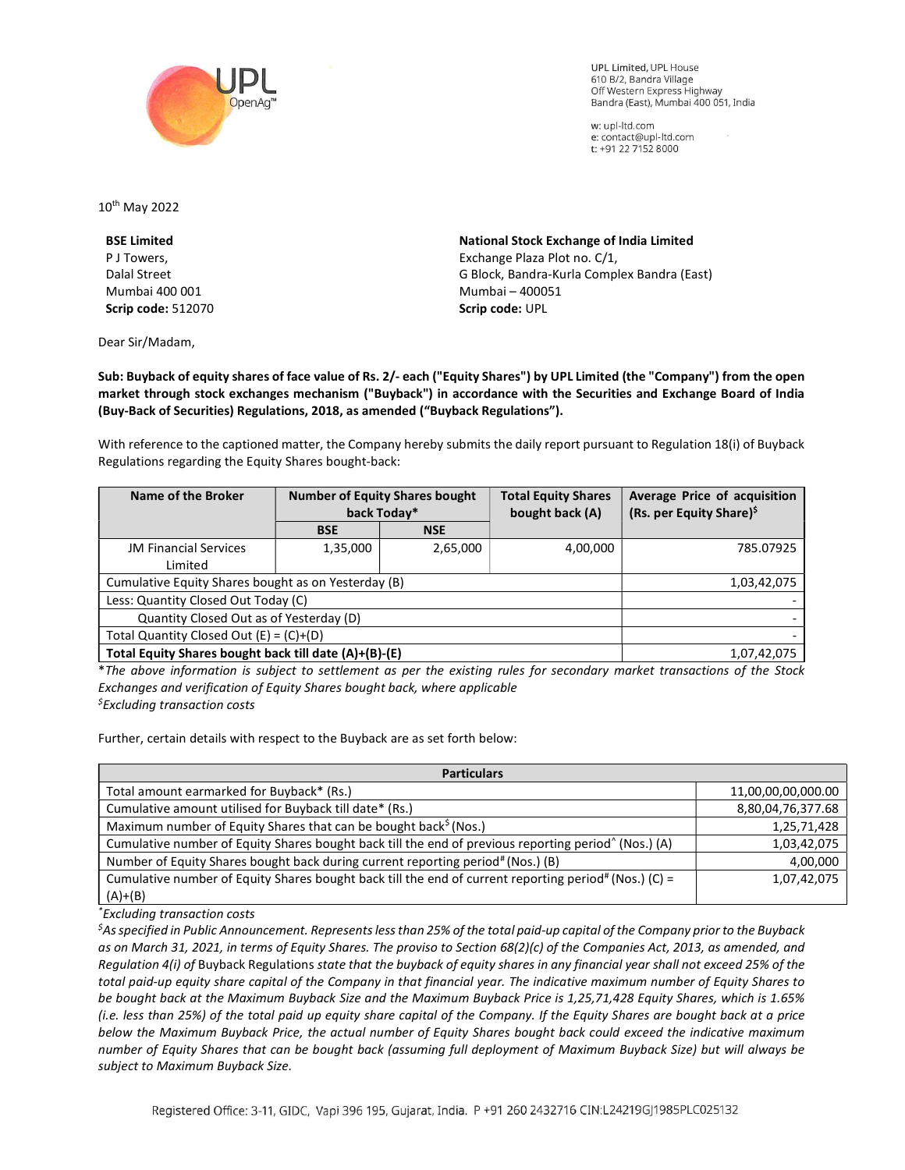

**UPL Limited. UPL House** 610 B/2, Bandra Village Off Western Express Highway Bandra (East), Mumbai 400 051, India

w: upl-ltd.com e: contact@upl-ltd.com t: +91 22 7152 8000

10th May 2022

BSE Limited P J Towers, Dalal Street Mumbai 400 001 Scrip code: 512070

Dear Sir/Madam,

National Stock Exchange of India Limited Exchange Plaza Plot no. C/1, G Block, Bandra-Kurla Complex Bandra (East) Mumbai – 400051 Scrip code: UPL

Sub: Buyback of equity shares of face value of Rs. 2/- each ("Equity Shares") by UPL Limited (the "Company") from the open market through stock exchanges mechanism ("Buyback") in accordance with the Securities and Exchange Board of India (Buy-Back of Securities) Regulations, 2018, as amended ("Buyback Regulations").

With reference to the captioned matter, the Company hereby submits the daily report pursuant to Regulation 18(i) of Buyback Regulations regarding the Equity Shares bought-back:

| Name of the Broker                                    | <b>Number of Equity Shares bought</b><br>back Today* |            | <b>Total Equity Shares</b><br>bought back (A) | Average Price of acquisition<br>(Rs. per Equity Share) <sup>\$</sup> |
|-------------------------------------------------------|------------------------------------------------------|------------|-----------------------------------------------|----------------------------------------------------------------------|
|                                                       | <b>BSE</b>                                           | <b>NSE</b> |                                               |                                                                      |
| <b>JM Financial Services</b>                          | 1,35,000                                             | 2,65,000   | 4,00,000                                      | 785.07925                                                            |
| Limited                                               |                                                      |            |                                               |                                                                      |
| Cumulative Equity Shares bought as on Yesterday (B)   |                                                      |            |                                               | 1,03,42,075                                                          |
| Less: Quantity Closed Out Today (C)                   |                                                      |            |                                               |                                                                      |
| Quantity Closed Out as of Yesterday (D)               |                                                      |            |                                               |                                                                      |
| Total Quantity Closed Out $(E) = (C)+(D)$             |                                                      |            |                                               |                                                                      |
| Total Equity Shares bought back till date (A)+(B)-(E) |                                                      |            |                                               | 1,07,42,075                                                          |

\*The above information is subject to settlement as per the existing rules for secondary market transactions of the Stock Exchanges and verification of Equity Shares bought back, where applicable  $<sup>5</sup>$ Excluding transaction costs</sup>

Further, certain details with respect to the Buyback are as set forth below:

| <b>Particulars</b>                                                                                               |                    |  |  |  |
|------------------------------------------------------------------------------------------------------------------|--------------------|--|--|--|
| Total amount earmarked for Buyback* (Rs.)                                                                        | 11,00,00,00,000.00 |  |  |  |
| Cumulative amount utilised for Buyback till date* (Rs.)                                                          | 8,80,04,76,377.68  |  |  |  |
| Maximum number of Equity Shares that can be bought back <sup>\$</sup> (Nos.)                                     | 1,25,71,428        |  |  |  |
| Cumulative number of Equity Shares bought back till the end of previous reporting period <sup>^</sup> (Nos.) (A) | 1,03,42,075        |  |  |  |
| Number of Equity Shares bought back during current reporting period# (Nos.) (B)                                  | 4,00,000           |  |  |  |
| Cumulative number of Equity Shares bought back till the end of current reporting period# (Nos.) (C) =            | 1,07,42,075        |  |  |  |
| $(A)+(B)$                                                                                                        |                    |  |  |  |

\*Excluding transaction costs

 ${}^5$ As specified in Public Announcement. Represents less than 25% of the total paid-up capital of the Company prior to the Buyback as on March 31, 2021, in terms of Equity Shares. The proviso to Section 68(2)(c) of the Companies Act, 2013, as amended, and Regulation 4(i) of Buyback Regulations state that the buyback of equity shares in any financial year shall not exceed 25% of the total paid-up equity share capital of the Company in that financial year. The indicative maximum number of Equity Shares to be bought back at the Maximum Buyback Size and the Maximum Buyback Price is 1,25,71,428 Equity Shares, which is 1.65% (i.e. less than 25%) of the total paid up equity share capital of the Company. If the Equity Shares are bought back at a price below the Maximum Buyback Price, the actual number of Equity Shares bought back could exceed the indicative maximum number of Equity Shares that can be bought back (assuming full deployment of Maximum Buyback Size) but will always be subject to Maximum Buyback Size.